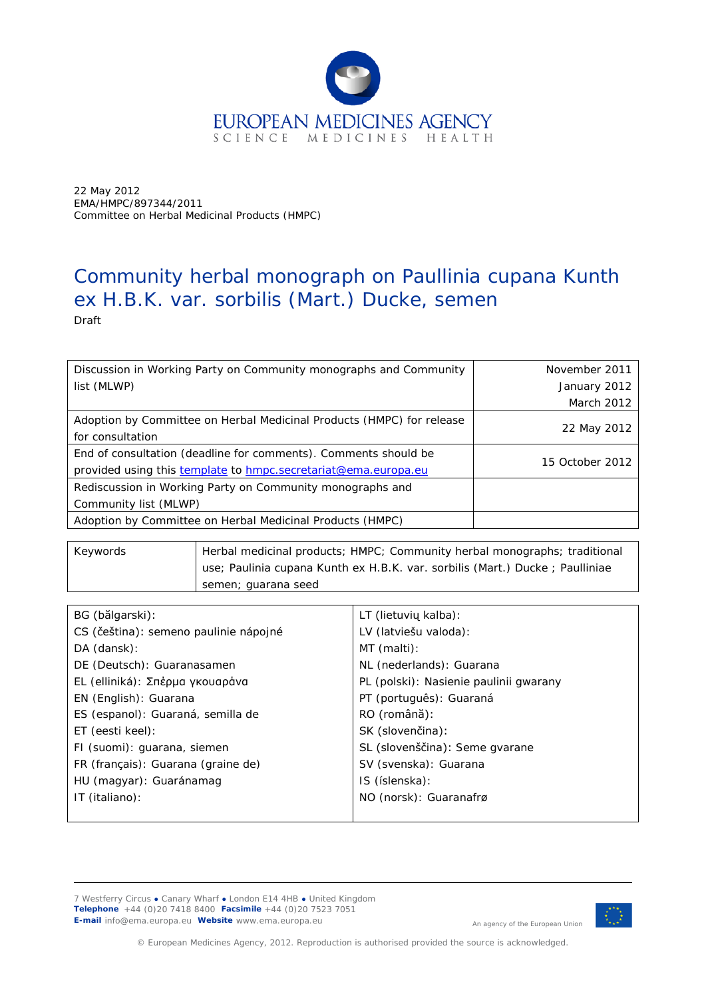

22 May 2012 EMA/HMPC/897344/2011 Committee on Herbal Medicinal Products (HMPC)

# Community herbal monograph on *Paullinia cupana* Kunth ex H.B.K. var. *sorbilis* (Mart.) Ducke, semen

Draft

| Discussion in Working Party on Community monographs and Community                                                                 | November 2011   |
|-----------------------------------------------------------------------------------------------------------------------------------|-----------------|
| list (MLWP)                                                                                                                       | January 2012    |
|                                                                                                                                   | March 2012      |
| Adoption by Committee on Herbal Medicinal Products (HMPC) for release<br>for consultation                                         | 22 May 2012     |
| End of consultation (deadline for comments). Comments should be<br>provided using this template to hmpc.secretariat@ema.europa.eu | 15 October 2012 |
| Rediscussion in Working Party on Community monographs and                                                                         |                 |
| Community list (MLWP)                                                                                                             |                 |
| Adoption by Committee on Herbal Medicinal Products (HMPC)                                                                         |                 |

| Keywords | Herbal medicinal products; HMPC; Community herbal monographs; traditional    |
|----------|------------------------------------------------------------------------------|
|          | use; Paulinia cupana Kunth ex H.B.K. var. sorbilis (Mart.) Ducke; Paulliniae |
|          | semen; guarana seed                                                          |

| BG (bălgarski):                       | LT (lietuvių kalba):                   |
|---------------------------------------|----------------------------------------|
| CS (čeština): semeno paulinie nápojné | LV (latviešu valoda):                  |
| DA (dansk):                           | MT (malti):                            |
| DE (Deutsch): Guaranasamen            | NL (nederlands): Guarana               |
| EL (elliniká): Σπέρμα γκουαράνα       | PL (polski): Nasienie paulinii gwarany |
| EN (English): Guarana                 | PT (português): Guaraná                |
| ES (espanol): Guaraná, semilla de     | RO (română):                           |
| ET (eesti keel):                      | SK (slovenčina):                       |
| FI (suomi): guarana, siemen           | SL (slovenščina): Seme gvarane         |
| FR (français): Guarana (graine de)    | SV (svenska): Guarana                  |
| HU (magyar): Guaránamag               | IS (íslenska):                         |
| IT (italiano):                        | NO (norsk): Guaranafrø                 |
|                                       |                                        |

7 Westferry Circus **●** Canary Wharf **●** London E14 4HB **●** United Kingdom **Telephone** +44 (0)20 7418 8400 **Facsimile** +44 (0)20 7523 7051 **E-mail** info@ema.europa.eu **Website** www.ema.europa.eu



An agency of the European Union

© European Medicines Agency, 2012. Reproduction is authorised provided the source is acknowledged.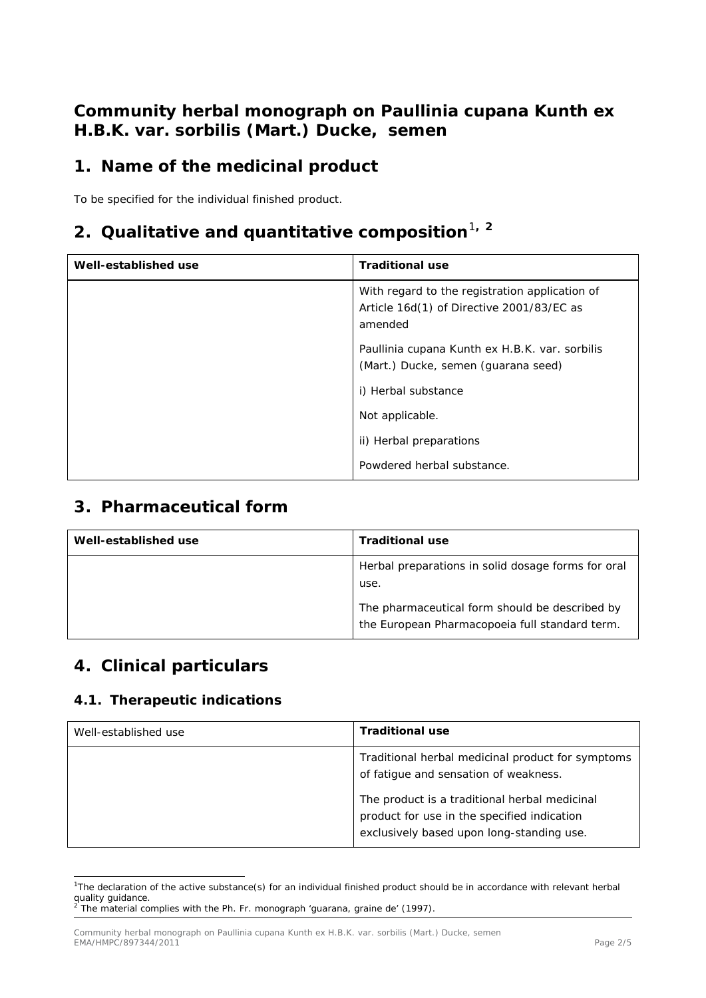## **Community herbal monograph on** *Paullinia cupana* **Kunth ex H.B.K. var.** *sorbilis* **(Mart.) Ducke, semen**

# **1. Name of the medicinal product**

To be specified for the individual finished product.

# **2. Qualitative and quantitative composition**[1](#page-1-0)**, [2](#page-1-1)**

| Well-established use | <b>Traditional use</b>                                                                                 |
|----------------------|--------------------------------------------------------------------------------------------------------|
|                      | With regard to the registration application of<br>Article 16d(1) of Directive 2001/83/EC as<br>amended |
|                      | Paullinia cupana Kunth ex H.B.K. var. sorbilis<br>(Mart.) Ducke, semen (guarana seed)                  |
|                      | i) Herbal substance                                                                                    |
|                      | Not applicable.                                                                                        |
|                      | ii) Herbal preparations                                                                                |
|                      | Powdered herbal substance.                                                                             |

#### **3. Pharmaceutical form**

| Well-established use | <b>Traditional use</b>                                                                           |
|----------------------|--------------------------------------------------------------------------------------------------|
|                      | Herbal preparations in solid dosage forms for oral<br>use.                                       |
|                      | The pharmaceutical form should be described by<br>the European Pharmacopoeia full standard term. |

## **4. Clinical particulars**

#### *4.1. Therapeutic indications*

| Well-established use | <b>Traditional use</b>                                                                                                                    |
|----------------------|-------------------------------------------------------------------------------------------------------------------------------------------|
|                      | Traditional herbal medicinal product for symptoms<br>of fatigue and sensation of weakness.                                                |
|                      | The product is a traditional herbal medicinal<br>product for use in the specified indication<br>exclusively based upon long-standing use. |

<span id="page-1-0"></span> <sup>1</sup> The declaration of the active substance(s) for an individual finished product should be in accordance with relevant herbal quality guidance.<br><sup>2</sup> The material complies with the Ph. Fr. monograph 'guarana, graine de' (1997).

<span id="page-1-1"></span>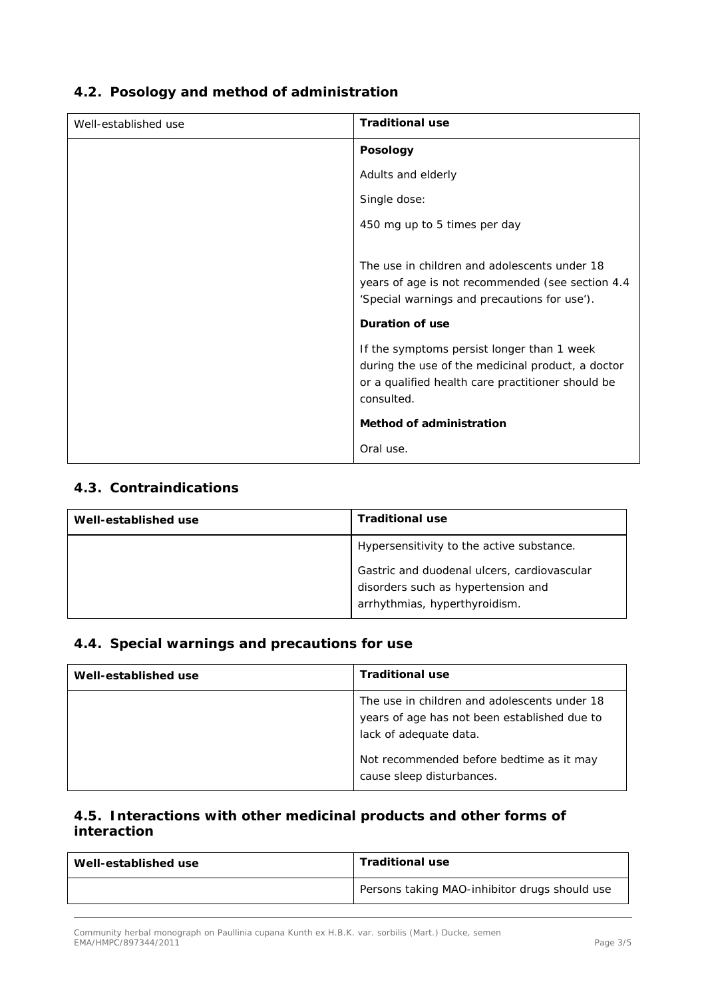| Well-established use | <b>Traditional use</b>                            |
|----------------------|---------------------------------------------------|
|                      | Posology                                          |
|                      | Adults and elderly                                |
|                      | Single dose:                                      |
|                      | 450 mg up to 5 times per day                      |
|                      |                                                   |
|                      | The use in children and adolescents under 18      |
|                      | years of age is not recommended (see section 4.4  |
|                      | 'Special warnings and precautions for use').      |
|                      | Duration of use                                   |
|                      | If the symptoms persist longer than 1 week        |
|                      | during the use of the medicinal product, a doctor |
|                      | or a qualified health care practitioner should be |
|                      | consulted.                                        |
|                      | Method of administration                          |
|                      |                                                   |
|                      | Oral use.                                         |

#### *4.2. Posology and method of administration*

#### *4.3. Contraindications*

| Well-established use | <b>Traditional use</b>                                                                                             |
|----------------------|--------------------------------------------------------------------------------------------------------------------|
|                      | Hypersensitivity to the active substance.                                                                          |
|                      | Gastric and duodenal ulcers, cardiovascular<br>disorders such as hypertension and<br>arrhythmias, hyperthyroidism. |

#### *4.4. Special warnings and precautions for use*

| Well-established use | <b>Traditional use</b>                                                                                                 |
|----------------------|------------------------------------------------------------------------------------------------------------------------|
|                      | The use in children and adolescents under 18<br>years of age has not been established due to<br>lack of adequate data. |
|                      | Not recommended before bedtime as it may<br>cause sleep disturbances.                                                  |

#### *4.5. Interactions with other medicinal products and other forms of interaction*

| Well-established use | <b>Traditional use</b>                        |
|----------------------|-----------------------------------------------|
|                      | Persons taking MAO-inhibitor drugs should use |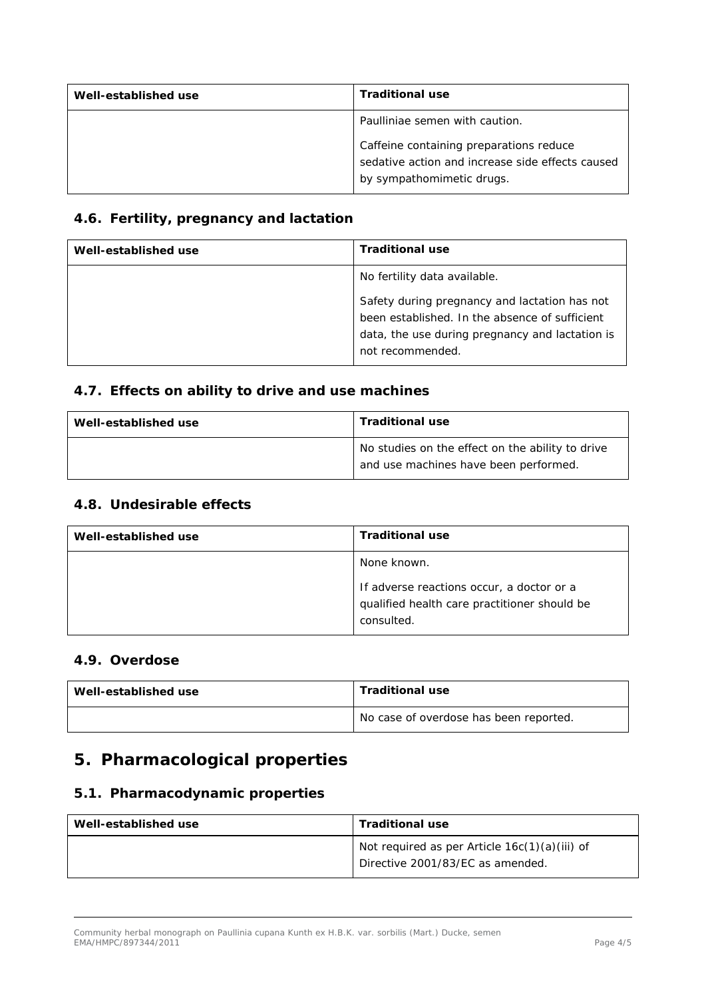| Well-established use | <b>Traditional use</b>                                                                                                   |
|----------------------|--------------------------------------------------------------------------------------------------------------------------|
|                      | Paulliniae semen with caution.                                                                                           |
|                      | Caffeine containing preparations reduce<br>sedative action and increase side effects caused<br>by sympathomimetic drugs. |

#### *4.6. Fertility, pregnancy and lactation*

| Well-established use | <b>Traditional use</b>                          |
|----------------------|-------------------------------------------------|
|                      | No fertility data available.                    |
|                      | Safety during pregnancy and lactation has not   |
|                      | been established. In the absence of sufficient  |
|                      | data, the use during pregnancy and lactation is |
|                      | not recommended.                                |

#### *4.7. Effects on ability to drive and use machines*

| Well-established use | <b>Traditional use</b>                                                                    |
|----------------------|-------------------------------------------------------------------------------------------|
|                      | No studies on the effect on the ability to drive<br>and use machines have been performed. |

#### *4.8. Undesirable effects*

| Well-established use | <b>Traditional use</b>                                                                                  |
|----------------------|---------------------------------------------------------------------------------------------------------|
|                      | None known.                                                                                             |
|                      | If adverse reactions occur, a doctor or a<br>qualified health care practitioner should be<br>consulted. |

#### *4.9. Overdose*

| Well-established use | <b>Traditional use</b>                 |
|----------------------|----------------------------------------|
|                      | No case of overdose has been reported. |

## **5. Pharmacological properties**

#### *5.1. Pharmacodynamic properties*

| Well-established use | <b>Traditional use</b>                          |
|----------------------|-------------------------------------------------|
|                      | Not required as per Article $16c(1)(a)(iii)$ of |
|                      | Directive 2001/83/EC as amended.                |